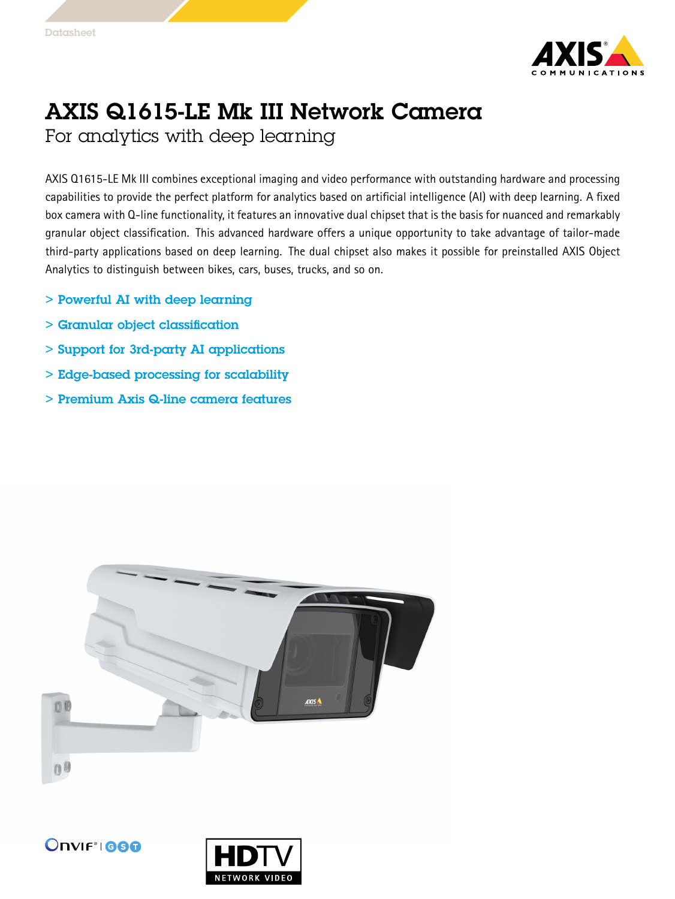

## AXIS Q1615-LE Mk III Network Camera

For analytics with deep learning

AXIS Q1615-LE Mk III combines exceptional imaging and video performance with outstanding hardware and processing capabilities to provide the perfect platform for analytics based on artificial intelligence (AI) with deep learning. A fixed box camera with Q-line functionality, it features an innovative dual chipset that is the basis for nuanced and remarkably granular object classification. This advanced hardware offers <sup>a</sup> unique opportunity to take advantage of tailor-made third-party applications based on deep learning. The dual chipset also makes it possible for preinstalled AXIS Object Analytics to distinguish between bikes, cars, buses, trucks, and so on.

- > Powerful AI with deep learning
- > Granular object classification
- > Support for 3rd-party AI applications
- > Edge-based processing for scalability
- > Premium Axis Q-line camera features





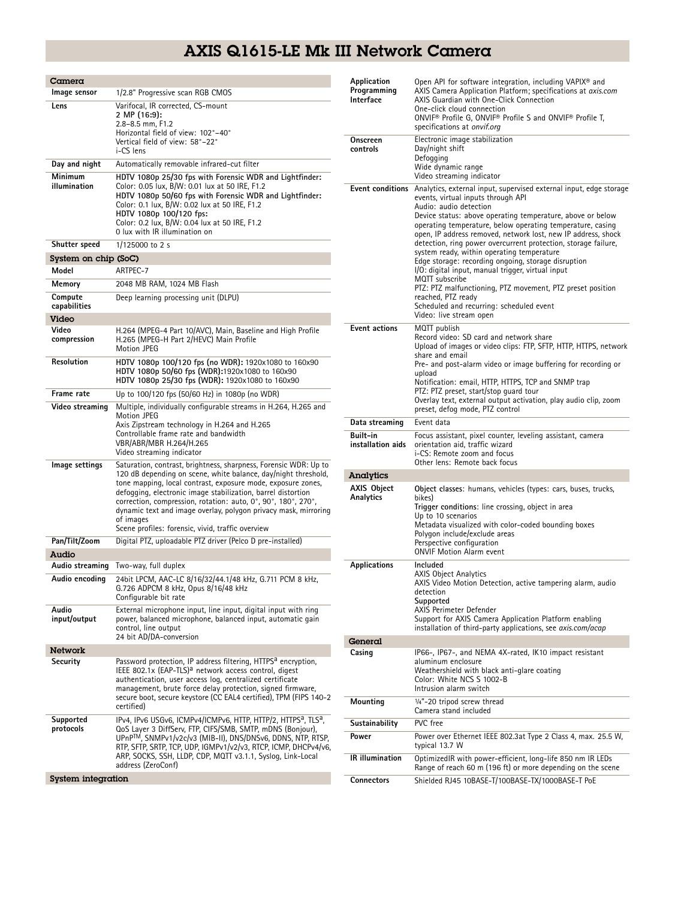## AXIS Q1615-LE Mk III Network Camera

| Camera<br>Image sensor  | 1/2.8" Progressive scan RGB CMOS                                                                                                                                                                                                                                                                                                                            | Application<br>Programming<br>Interface             | Open API for software integration, including VAPIX <sup>®</sup> and<br>AXIS Camera Application Platform; specifications at axis.com<br>AXIS Guardian with One-Click Connection<br>One-click cloud connection<br>ONVIF® Profile G, ONVIF® Profile S and ONVIF® Profile T,<br>specifications at onvif.org<br>Electronic image stabilization                                            |  |
|-------------------------|-------------------------------------------------------------------------------------------------------------------------------------------------------------------------------------------------------------------------------------------------------------------------------------------------------------------------------------------------------------|-----------------------------------------------------|--------------------------------------------------------------------------------------------------------------------------------------------------------------------------------------------------------------------------------------------------------------------------------------------------------------------------------------------------------------------------------------|--|
| Lens                    | Varifocal, IR corrected, CS-mount<br>2 MP (16:9):<br>2.8-8.5 mm, F1.2<br>Horizontal field of view: 102°-40°<br>Vertical field of view: 58°-22°                                                                                                                                                                                                              | Onscreen                                            |                                                                                                                                                                                                                                                                                                                                                                                      |  |
|                         | i-CS lens                                                                                                                                                                                                                                                                                                                                                   | controls                                            | Day/night shift                                                                                                                                                                                                                                                                                                                                                                      |  |
| Day and night           | Automatically removable infrared-cut filter                                                                                                                                                                                                                                                                                                                 | Defogging<br>Wide dynamic range                     |                                                                                                                                                                                                                                                                                                                                                                                      |  |
| Minimum<br>illumination | HDTV 1080p 25/30 fps with Forensic WDR and Lightfinder:<br>Color: 0.05 lux, B/W: 0.01 lux at 50 IRE, F1.2<br>HDTV 1080p 50/60 fps with Forensic WDR and Lightfinder:<br>Color: 0.1 lux, B/W: 0.02 lux at 50 IRE, F1.2<br>HDTV 1080p 100/120 fps:<br>Color: 0.2 lux, B/W: 0.04 lux at 50 IRE, F1.2<br>0 lux with IR illumination on                          |                                                     | Video streaming indicator<br><b>Event conditions</b> Analytics, external input, supervised external input, edge storage<br>events, virtual inputs through API<br>Audio: audio detection<br>Device status: above operating temperature, above or below<br>operating temperature, below operating temperature, casing<br>open, IP address removed, network lost, new IP address, shock |  |
| Shutter speed           | 1/125000 to 2 s                                                                                                                                                                                                                                                                                                                                             |                                                     | detection, ring power overcurrent protection, storage failure,<br>system ready, within operating temperature                                                                                                                                                                                                                                                                         |  |
| System on chip (SoC)    |                                                                                                                                                                                                                                                                                                                                                             | Edge storage: recording ongoing, storage disruption |                                                                                                                                                                                                                                                                                                                                                                                      |  |
| Model                   | ARTPEC-7                                                                                                                                                                                                                                                                                                                                                    |                                                     | I/O: digital input, manual trigger, virtual input<br>MQTT subscribe                                                                                                                                                                                                                                                                                                                  |  |
| Memory<br>Compute       | 2048 MB RAM, 1024 MB Flash                                                                                                                                                                                                                                                                                                                                  |                                                     | PTZ: PTZ malfunctioning, PTZ movement, PTZ preset position                                                                                                                                                                                                                                                                                                                           |  |
| capabilities            | Deep learning processing unit (DLPU)                                                                                                                                                                                                                                                                                                                        |                                                     | reached, PTZ ready<br>Scheduled and recurring: scheduled event                                                                                                                                                                                                                                                                                                                       |  |
| Video                   |                                                                                                                                                                                                                                                                                                                                                             |                                                     | Video: live stream open                                                                                                                                                                                                                                                                                                                                                              |  |
| Video<br>compression    | H.264 (MPEG-4 Part 10/AVC), Main, Baseline and High Profile<br>H.265 (MPEG-H Part 2/HEVC) Main Profile<br>Motion JPEG                                                                                                                                                                                                                                       | <b>Event actions</b>                                | MQTT publish<br>Record video: SD card and network share<br>Upload of images or video clips: FTP, SFTP, HTTP, HTTPS, network<br>share and email                                                                                                                                                                                                                                       |  |
| Resolution              | HDTV 1080p 100/120 fps (no WDR): 1920x1080 to 160x90<br>HDTV 1080p 50/60 fps (WDR):1920x1080 to 160x90<br>HDTV 1080p 25/30 fps (WDR): 1920x1080 to 160x90                                                                                                                                                                                                   |                                                     | Pre- and post-alarm video or image buffering for recording or<br>upload<br>Notification: email, HTTP, HTTPS, TCP and SNMP trap<br>PTZ: PTZ preset, start/stop quard tour<br>Overlay text, external output activation, play audio clip, zoom                                                                                                                                          |  |
| Frame rate              | Up to 100/120 fps (50/60 Hz) in 1080p (no WDR)                                                                                                                                                                                                                                                                                                              |                                                     |                                                                                                                                                                                                                                                                                                                                                                                      |  |
| Video streaming         | Multiple, individually configurable streams in H.264, H.265 and<br>Motion JPEG                                                                                                                                                                                                                                                                              |                                                     | preset, defog mode, PTZ control                                                                                                                                                                                                                                                                                                                                                      |  |
|                         | Axis Zipstream technology in H.264 and H.265<br>Controllable frame rate and bandwidth<br>VBR/ABR/MBR H.264/H.265<br>Video streaming indicator                                                                                                                                                                                                               | Data streaminq                                      | Event data                                                                                                                                                                                                                                                                                                                                                                           |  |
|                         |                                                                                                                                                                                                                                                                                                                                                             | Built-in<br>installation aids                       | Focus assistant, pixel counter, leveling assistant, camera<br>orientation aid, traffic wizard<br>i-CS: Remote zoom and focus                                                                                                                                                                                                                                                         |  |
| Image settings          | Saturation, contrast, brightness, sharpness, Forensic WDR: Up to<br>120 dB depending on scene, white balance, day/night threshold,                                                                                                                                                                                                                          | Analytics                                           | Other lens: Remote back focus                                                                                                                                                                                                                                                                                                                                                        |  |
|                         | tone mapping, local contrast, exposure mode, exposure zones,<br>defogging, electronic image stabilization, barrel distortion<br>correction, compression, rotation: auto, 0°, 90°, 180°, 270°,<br>dynamic text and image overlay, polygon privacy mask, mirroring<br>of images<br>Scene profiles: forensic, vivid, traffic overview                          | <b>AXIS Object</b><br>Analytics                     | Object classes: humans, vehicles (types: cars, buses, trucks,<br>bikes)<br>Trigger conditions: line crossing, object in area<br>Up to 10 scenarios<br>Metadata visualized with color-coded bounding boxes<br>Polygon include/exclude areas                                                                                                                                           |  |
| Pan/Tilt/Zoom           | Digital PTZ, uploadable PTZ driver (Pelco D pre-installed)                                                                                                                                                                                                                                                                                                  |                                                     | Perspective configuration<br><b>ONVIF Motion Alarm event</b>                                                                                                                                                                                                                                                                                                                         |  |
| Audio                   | Audio streaming Two-way, full duplex                                                                                                                                                                                                                                                                                                                        | <b>Applications</b>                                 | Included                                                                                                                                                                                                                                                                                                                                                                             |  |
| Audio encoding          | 24bit LPCM, AAC-LC 8/16/32/44.1/48 kHz, G.711 PCM 8 kHz,<br>G.726 ADPCM 8 kHz, Opus 8/16/48 kHz<br>Configurable bit rate                                                                                                                                                                                                                                    |                                                     | <b>AXIS Object Analytics</b><br>AXIS Video Motion Detection, active tampering alarm, audio<br>detection<br>Supported                                                                                                                                                                                                                                                                 |  |
| Audio                   | External microphone input, line input, digital input with ring                                                                                                                                                                                                                                                                                              |                                                     | AXIS Perimeter Defender                                                                                                                                                                                                                                                                                                                                                              |  |
| input/output            | power, balanced microphone, balanced input, automatic gain<br>control, line output<br>24 bit AD/DA-conversion                                                                                                                                                                                                                                               | General                                             | Support for AXIS Camera Application Platform enabling<br>installation of third-party applications, see <i>axis.com/acap</i>                                                                                                                                                                                                                                                          |  |
| <b>Network</b>          |                                                                                                                                                                                                                                                                                                                                                             | Casing                                              | IP66-, IP67-, and NEMA 4X-rated, IK10 impact resistant                                                                                                                                                                                                                                                                                                                               |  |
| Security                | Password protection, IP address filtering, HTTPS <sup>a</sup> encryption,<br>IEEE 802.1x (EAP-TLS) <sup>a</sup> network access control, digest<br>authentication, user access log, centralized certificate<br>management, brute force delay protection, signed firmware,<br>secure boot, secure keystore (CC EAL4 certified), TPM (FIPS 140-2<br>certified) |                                                     | aluminum enclosure<br>Weathershield with black anti-glare coating<br>Color: White NCS S 1002-B<br>Intrusion alarm switch                                                                                                                                                                                                                                                             |  |
| Supported               |                                                                                                                                                                                                                                                                                                                                                             | Mounting                                            | $1/4"$ -20 tripod screw thread<br>Camera stand included                                                                                                                                                                                                                                                                                                                              |  |
| protocols               | IPv4, IPv6 USGv6, ICMPv4/ICMPv6, HTTP, HTTP/2, HTTPS <sup>a</sup> , TLS <sup>a</sup> ,<br>QoS Layer 3 DiffServ, FTP, CIFS/SMB, SMTP, mDNS (Bonjour),<br>UPnPTM, SNMPv1/v2c/v3 (MIB-II), DNS/DNSv6, DDNS, NTP, RTSP,<br>RTP, SFTP, SRTP, TCP, UDP, IGMPv1/v2/v3, RTCP, ICMP, DHCPv4/v6,                                                                      | Sustainability                                      | PVC free                                                                                                                                                                                                                                                                                                                                                                             |  |
|                         |                                                                                                                                                                                                                                                                                                                                                             | Power                                               | Power over Ethernet IEEE 802.3at Type 2 Class 4, max. 25.5 W,<br>typical 13.7 W                                                                                                                                                                                                                                                                                                      |  |
|                         | ARP, SOCKS, SSH, LLDP, CDP, MQTT v3.1.1, Syslog, Link-Local<br>address (ZeroConf)                                                                                                                                                                                                                                                                           | IR illumination                                     | OptimizedIR with power-efficient, long-life 850 nm IR LEDs<br>Range of reach 60 m (196 ft) or more depending on the scene                                                                                                                                                                                                                                                            |  |
| System integration      |                                                                                                                                                                                                                                                                                                                                                             | Connectors                                          | Shielded RJ45 10BASE-T/100BASE-TX/1000BASE-T PoE                                                                                                                                                                                                                                                                                                                                     |  |